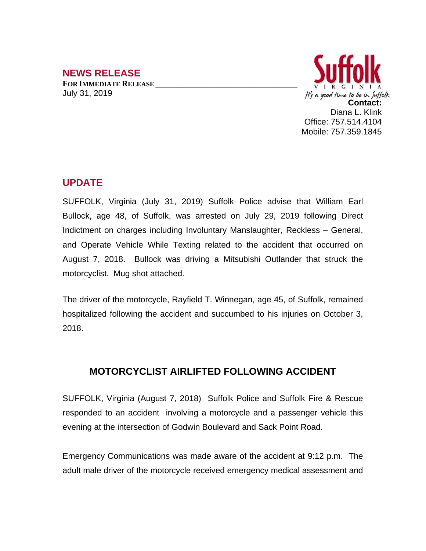## **NEWS RELEASE**

**FOR IMMEDIATE RELEASE \_\_\_\_\_\_\_\_\_\_\_\_\_\_\_\_\_\_\_\_\_\_\_\_\_\_\_\_\_\_\_\_\_\_** July 31, 2019



## **UPDATE**

SUFFOLK, Virginia (July 31, 2019) Suffolk Police advise that William Earl Bullock, age 48, of Suffolk, was arrested on July 29, 2019 following Direct Indictment on charges including Involuntary Manslaughter, Reckless – General, and Operate Vehicle While Texting related to the accident that occurred on August 7, 2018. Bullock was driving a Mitsubishi Outlander that struck the motorcyclist. Mug shot attached.

The driver of the motorcycle, Rayfield T. Winnegan, age 45, of Suffolk, remained hospitalized following the accident and succumbed to his injuries on October 3, 2018.

## **MOTORCYCLIST AIRLIFTED FOLLOWING ACCIDENT**

SUFFOLK, Virginia (August 7, 2018) Suffolk Police and Suffolk Fire & Rescue responded to an accident involving a motorcycle and a passenger vehicle this evening at the intersection of Godwin Boulevard and Sack Point Road.

Emergency Communications was made aware of the accident at 9:12 p.m. The adult male driver of the motorcycle received emergency medical assessment and